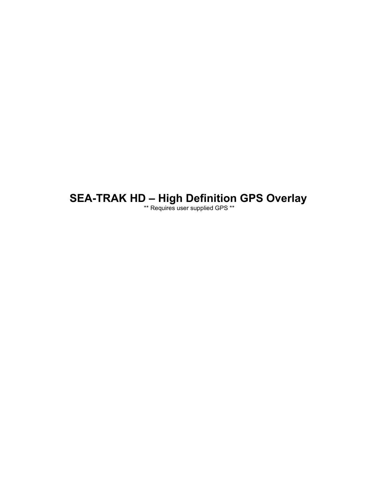# **SEA-TRAK HD – High Definition GPS Overlay**

\*\* Requires user supplied GPS \*\*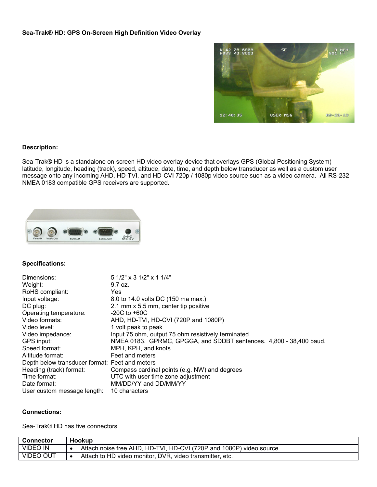

# **Description:**

Sea-Trak® HD is a standalone on-screen HD video overlay device that overlays GPS (Global Positioning System) latitude, longitude, heading (track), speed, altitude, date, time, and depth below transducer as well as a custom user message onto any incoming AHD, HD-TVI, and HD-CVI 720p / 1080p video source such as a video camera. All RS-232 NMEA 0183 compatible GPS receivers are supported.



#### **Specifications:**

| Dimensions:                                    | $51/2$ " x 3 $1/2$ " x 1 $1/4$ "                                   |
|------------------------------------------------|--------------------------------------------------------------------|
| Weight:                                        | 9.7 oz.                                                            |
| RoHS compliant:                                | Yes                                                                |
| Input voltage:                                 | 8.0 to 14.0 volts DC (150 ma max.)                                 |
| DC plug:                                       | 2.1 mm x 5.5 mm, center tip positive                               |
| Operating temperature:                         | $-20C$ to $+60C$                                                   |
| Video formats:                                 | AHD, HD-TVI, HD-CVI (720P and 1080P)                               |
| Video level:                                   | 1 volt peak to peak                                                |
| Video impedance:                               | Input 75 ohm, output 75 ohm resistively terminated                 |
| GPS input:                                     | NMEA 0183. GPRMC, GPGGA, and SDDBT sentences. 4,800 - 38,400 baud. |
| Speed format:                                  | MPH, KPH, and knots                                                |
| Altitude format:                               | Feet and meters                                                    |
| Depth below transducer format: Feet and meters |                                                                    |
| Heading (track) format:                        | Compass cardinal points (e.g. NW) and degrees                      |
| Time format:                                   | UTC with user time zone adjustment                                 |
| Date format:                                   | MM/DD/YY and DD/MM/YY                                              |
| User custom message length:                    | 10 characters                                                      |

#### **Connections:**

Sea-Trak® HD has five connectors

| Connector        | Hookup                                                              |
|------------------|---------------------------------------------------------------------|
| VIDEO IN         | Attach noise free AHD, HD-TVI, HD-CVI (720P and 1080P) video source |
| <b>VIDEO OUT</b> | Attach to HD video monitor. DVR, video transmitter,<br>∵ etc.       |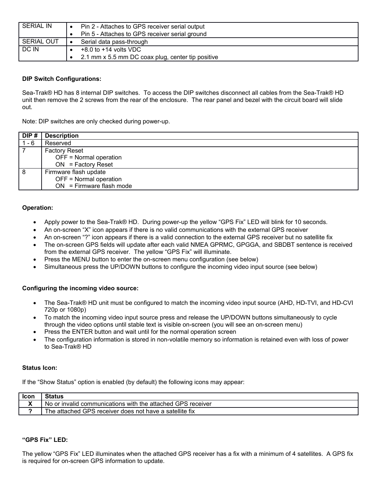| <b>SERIAL IN</b>  | Pin 2 - Attaches to GPS receiver serial output    |
|-------------------|---------------------------------------------------|
|                   | Pin 5 - Attaches to GPS receiver serial ground    |
| <b>SERIAL OUT</b> | Serial data pass-through                          |
| DC IN             | $+8.0$ to $+14$ volts VDC                         |
|                   | 2.1 mm x 5.5 mm DC coax plug, center tip positive |

# **DIP Switch Configurations:**

Sea-Trak® HD has 8 internal DIP switches. To access the DIP switches disconnect all cables from the Sea-Trak® HD unit then remove the 2 screws from the rear of the enclosure. The rear panel and bezel with the circuit board will slide out.

Note: DIP switches are only checked during power-up.

| DIP#  | <b>Description</b>         |
|-------|----------------------------|
| 1 - 6 | Reserved                   |
|       | <b>Factory Reset</b>       |
|       | OFF = Normal operation     |
|       | $ON = Factory$ Reset       |
| 8     | Firmware flash update      |
|       | OFF = Normal operation     |
|       | $ON = Firmware flash mode$ |

# **Operation:**

- Apply power to the Sea-Trak® HD. During power-up the yellow "GPS Fix" LED will blink for 10 seconds.
- An on-screen "X" icon appears if there is no valid communications with the external GPS receiver
- An on-screen "?" icon appears if there is a valid connection to the external GPS receiver but no satellite fix
- The on-screen GPS fields will update after each valid NMEA GPRMC, GPGGA, and SBDBT sentence is received from the external GPS receiver. The yellow "GPS Fix" will illuminate.
- Press the MENU button to enter the on-screen menu configuration (see below)
- Simultaneous press the UP/DOWN buttons to configure the incoming video input source (see below)

#### **Configuring the incoming video source:**

- The Sea-Trak® HD unit must be configured to match the incoming video input source (AHD, HD-TVI, and HD-CVI 720p or 1080p)
- To match the incoming video input source press and release the UP/DOWN buttons simultaneously to cycle through the video options until stable text is visible on-screen (you will see an on-screen menu)
- Press the ENTER button and wait until for the normal operation screen
- The configuration information is stored in non-volatile memory so information is retained even with loss of power to Sea-Trak® HD

#### **Status Icon:**

If the "Show Status" option is enabled (by default) the following icons may appear:

| <b>Icon</b>  |                                                             |
|--------------|-------------------------------------------------------------|
| $\mathbf{r}$ | No or invalid communications with the attached GPS receiver |
|              | The attached GPS receiver does not have a satellite fix     |

#### **"GPS Fix" LED:**

The yellow "GPS Fix" LED illuminates when the attached GPS receiver has a fix with a minimum of 4 satellites. A GPS fix is required for on-screen GPS information to update.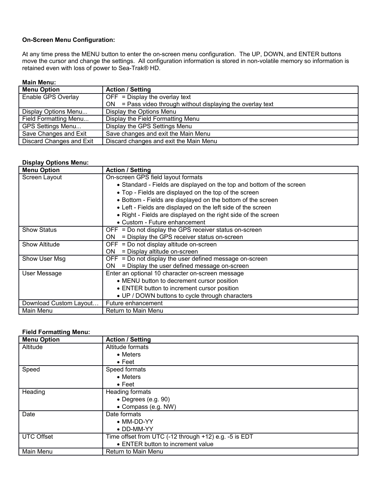# **On-Screen Menu Configuration:**

At any time press the MENU button to enter the on-screen menu configuration. The UP, DOWN, and ENTER buttons move the cursor and change the settings. All configuration information is stored in non-volatile memory so information is retained even with loss of power to Sea-Trak® HD.

# **Main Menu:**

| <b>Menu Option</b>       | <b>Action / Setting</b>                                       |
|--------------------------|---------------------------------------------------------------|
| Enable GPS Overlay       | $OFF = Display$ the overlay text                              |
|                          | $ON = Pass$ video through without displaying the overlay text |
| Display Options Menu     | Display the Options Menu                                      |
| Field Formatting Menu    | Display the Field Formatting Menu                             |
| GPS Settings Menu        | Display the GPS Settings Menu                                 |
| Save Changes and Exit    | Save changes and exit the Main Menu                           |
| Discard Changes and Exit | Discard changes and exit the Main Menu                        |

# **Display Options Menu:**

| <b>Menu Option</b>     | <b>Action / Setting</b>                                               |
|------------------------|-----------------------------------------------------------------------|
| Screen Layout          | On-screen GPS field layout formats                                    |
|                        | • Standard - Fields are displayed on the top and bottom of the screen |
|                        | • Top - Fields are displayed on the top of the screen                 |
|                        | • Bottom - Fields are displayed on the bottom of the screen           |
|                        | • Left - Fields are displayed on the left side of the screen          |
|                        | • Right - Fields are displayed on the right side of the screen        |
|                        | • Custom - Future enhancement                                         |
| <b>Show Status</b>     | OFF = Do not display the GPS receiver status on-screen                |
|                        | = Display the GPS receiver status on-screen<br>ON.                    |
| <b>Show Altitude</b>   | $OFF = Do$ not display altitude on-screen                             |
|                        | = Display altitude on-screen<br>ON.                                   |
| Show User Msg          | $OFF = Do$ not display the user defined message on-screen             |
|                        | = Display the user defined message on-screen<br>ON.                   |
| User Message           | Enter an optional 10 character on-screen message                      |
|                        | • MENU button to decrement cursor position                            |
|                        | • ENTER button to increment cursor position                           |
|                        | • UP / DOWN buttons to cycle through characters                       |
| Download Custom Layout | Future enhancement                                                    |
| Main Menu              | Return to Main Menu                                                   |

# **Field Formatting Menu:**

| <b>Menu Option</b> | <b>Action / Setting</b>                               |
|--------------------|-------------------------------------------------------|
| Altitude           | Altitude formats                                      |
|                    | $\bullet$ Meters                                      |
|                    | $\bullet$ Feet                                        |
| Speed              | Speed formats                                         |
|                    | $\bullet$ Meters                                      |
|                    | $\bullet$ Feet                                        |
| Heading            | Heading formats                                       |
|                    | • Degrees (e.g. 90)                                   |
|                    | • Compass (e.g. NW)                                   |
| Date               | Date formats                                          |
|                    | $\bullet$ MM-DD-YY                                    |
|                    | $\bullet$ DD-MM-YY                                    |
| <b>UTC Offset</b>  | Time offset from UTC (-12 through +12) e.g. -5 is EDT |
|                    | • ENTER button to increment value                     |
| Main Menu          | <b>Return to Main Menu</b>                            |